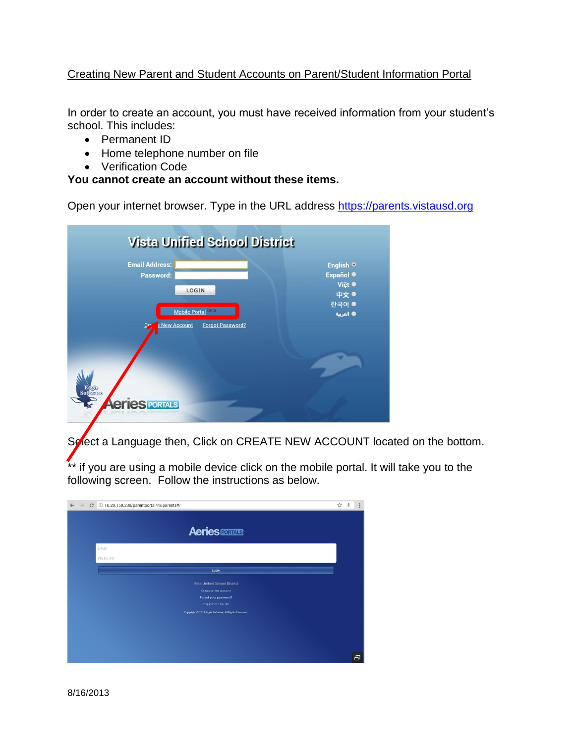## Creating New Parent and Student Accounts on Parent/Student Information Portal

In order to create an account, you must have received information from your student's school. This includes:

- Permanent ID
- Home telephone number on file
- Verification Code

## **You cannot create an account without these items.**

Open your internet browser. Type in the URL address [https://parents.vistausd.org](https://parents.vistausd.org/)



Select a Language then, Click on CREATE NEW ACCOUNT located on the bottom.

\*\* if you are using a mobile device click on the mobile portal. It will take you to the following screen. Follow the instructions as below.

|  | C © 10.20.150.238/parentportal/m/parents#/            | ☆ | Ŷ, | Ē |
|--|-------------------------------------------------------|---|----|---|
|  | <b>Aeries FORWIS</b>                                  |   |    |   |
|  | Email                                                 |   |    |   |
|  | Password                                              |   |    |   |
|  | Login                                                 |   |    |   |
|  | Vista Unified School District                         |   |    |   |
|  | Create a new account                                  |   |    |   |
|  | Forgot your password?<br>Request the full site        |   |    |   |
|  | Copyright @ 2013 Eagle Software. All Rights Reserved. |   |    |   |
|  |                                                       |   |    |   |
|  |                                                       |   |    |   |
|  |                                                       |   |    |   |
|  |                                                       |   |    | 日 |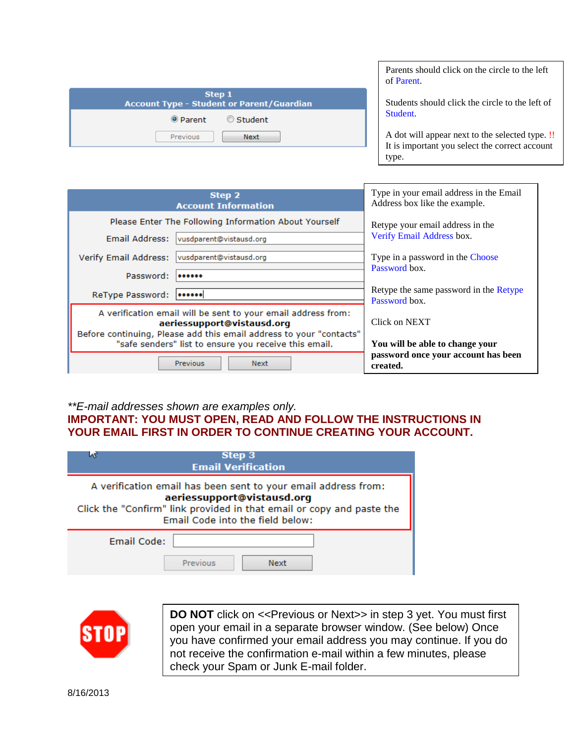| Step 1<br><b>Account Type - Student or Parent/Guardian</b> |                    |  |  |  |
|------------------------------------------------------------|--------------------|--|--|--|
|                                                            | ● Parent ● Student |  |  |  |
| Previous                                                   | Next               |  |  |  |

Parents should click on the circle to the left of Parent.

Students should click the circle to the left of Student.

A dot will appear next to the selected type. !! It is important you select the correct account type.

| Step 2<br><b>Account Information</b>                                                                                                                       | Type in your email address in the Email<br>Address box like the example. |  |  |  |
|------------------------------------------------------------------------------------------------------------------------------------------------------------|--------------------------------------------------------------------------|--|--|--|
| Please Enter The Following Information About Yourself<br>Email Address:<br>vusdparent@vistausd.org                                                         | Retype your email address in the<br>Verify Email Address box.            |  |  |  |
| vusdparent@vistausd.org<br>Verify Email Address:                                                                                                           | Type in a password in the Choose                                         |  |  |  |
| Password:<br>                                                                                                                                              | Password box.<br>Retype the same password in the Retype                  |  |  |  |
| ReType Password:<br><br>A verification email will be sent to your email address from:                                                                      | Password box.                                                            |  |  |  |
| aeriessupport@vistausd.org<br>Before continuing, Please add this email address to your "contacts"<br>"safe senders" list to ensure you receive this email. | Click on NEXT<br>You will be able to change your                         |  |  |  |
| <b>Previous</b><br>Next                                                                                                                                    | password once your account has been<br>created.                          |  |  |  |

## *\*\*E-mail addresses shown are examples only.* **IMPORTANT: YOU MUST OPEN, READ AND FOLLOW THE INSTRUCTIONS IN YOUR EMAIL FIRST IN ORDER TO CONTINUE CREATING YOUR ACCOUNT.**

| Step 3<br><b>Email Verification</b>                                                                                                                                                                       |  |  |  |  |  |
|-----------------------------------------------------------------------------------------------------------------------------------------------------------------------------------------------------------|--|--|--|--|--|
| A verification email has been sent to your email address from:<br>aeriessupport@vistausd.org<br>Click the "Confirm" link provided in that email or copy and paste the<br>Email Code into the field below: |  |  |  |  |  |
| Email Code:<br>Previous<br><b>Next</b>                                                                                                                                                                    |  |  |  |  |  |



**DO NOT** click on << Previous or Next>> in step 3 yet. You must first open your email in a separate browser window. (See below) Once you have confirmed your email address you may continue. If you do not receive the confirmation e-mail within a few minutes, please check your Spam or Junk E-mail folder.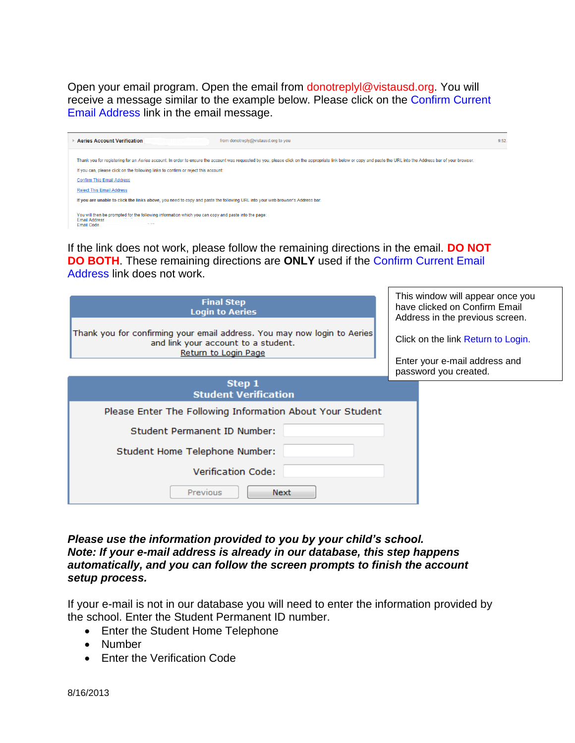Open your email program. Open the email from donotreplyl@vistausd.org. You will receive a message similar to the example below. Please click on the Confirm Current Email Address link in the email message.

| <b>Aeries Account Verification</b><br>from donotreply@vistausd.org to you                                                                                                                                                                                                                                                                   | 9:52 |
|---------------------------------------------------------------------------------------------------------------------------------------------------------------------------------------------------------------------------------------------------------------------------------------------------------------------------------------------|------|
| Thank you for registering for an Aeries account. In order to ensure the account was requested by you, please click on the appropriate link below or copy and paste the URL into the Address bar of your browser.<br>If you can, please click on the following links to confirm or reject this account:<br><b>Confirm This Email Address</b> |      |
| <b>Reject This Email Address</b><br>If you are unable to click the links above, you need to copy and paste the following URL into your web browser's Address bar.                                                                                                                                                                           |      |
| You will then be prompted for the following information which you can copy and paste into the page:<br><b>Email Address</b><br>Email Code                                                                                                                                                                                                   |      |

If the link does not work, please follow the remaining directions in the email. **DO NOT DO BOTH**. These remaining directions are **ONLY** used if the Confirm Current Email Address link does not work.

| <b>Final Step</b><br><b>Login to Aeries</b><br>Thank you for confirming your email address. You may now login to Aeries<br>and link your account to a student.<br>Return to Login Page |  | This window will appear once you<br>have clicked on Confirm Email<br>Address in the previous screen.<br>Click on the link Return to Login.<br>Enter your e-mail address and<br>password you created. |
|----------------------------------------------------------------------------------------------------------------------------------------------------------------------------------------|--|------------------------------------------------------------------------------------------------------------------------------------------------------------------------------------------------------|
| Step 1<br><b>Student Verification</b>                                                                                                                                                  |  |                                                                                                                                                                                                      |
| Please Enter The Following Information About Your Student                                                                                                                              |  |                                                                                                                                                                                                      |
| Student Permanent ID Number:                                                                                                                                                           |  |                                                                                                                                                                                                      |
| Student Home Telephone Number:                                                                                                                                                         |  |                                                                                                                                                                                                      |
| <b>Verification Code:</b>                                                                                                                                                              |  |                                                                                                                                                                                                      |
| Previous<br>Next                                                                                                                                                                       |  |                                                                                                                                                                                                      |

*Please use the information provided to you by your child's school. Note: If your e-mail address is already in our database, this step happens automatically, and you can follow the screen prompts to finish the account setup process.*

If your e-mail is not in our database you will need to enter the information provided by the school. Enter the Student Permanent ID number.

- Enter the Student Home Telephone
- Number
- **•** Enter the Verification Code